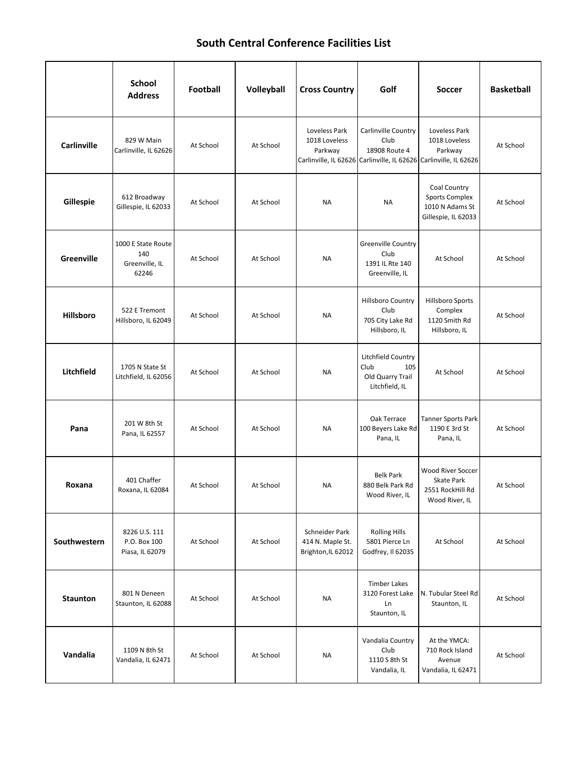## **South Central Conference Facilities List**

|                  | <b>School</b><br><b>Address</b>                      | <b>Football</b> | Volleyball | <b>Cross Country</b>                                     | Golf                                                                                                              | <b>Soccer</b>                                                                   | <b>Basketball</b> |
|------------------|------------------------------------------------------|-----------------|------------|----------------------------------------------------------|-------------------------------------------------------------------------------------------------------------------|---------------------------------------------------------------------------------|-------------------|
| Carlinville      | 829 W Main<br>Carlinville, IL 62626                  | At School       | At School  | Loveless Park<br>1018 Loveless<br>Parkway                | Carlinville Country<br>Club<br>18908 Route 4<br>Carlinville, IL 62626 Carlinville, IL 62626 Carlinville, IL 62626 | Loveless Park<br>1018 Loveless<br>Parkway                                       | At School         |
| Gillespie        | 612 Broadway<br>Gillespie, IL 62033                  | At School       | At School  | NA                                                       | <b>NA</b>                                                                                                         | Coal Country<br><b>Sports Complex</b><br>1010 N Adams St<br>Gillespie, IL 62033 | At School         |
| Greenville       | 1000 E State Route<br>140<br>Greenville, IL<br>62246 | At School       | At School  | NA                                                       | Greenville Country<br>Club<br>1391 IL Rte 140<br>Greenville, IL                                                   | At School                                                                       | At School         |
| <b>Hillsboro</b> | 522 E Tremont<br>Hillsboro, IL 62049                 | At School       | At School  | NA                                                       | <b>Hillsboro Country</b><br>Club<br>705 City Lake Rd<br>Hillsboro, IL                                             | Hillsboro Sports<br>Complex<br>1120 Smith Rd<br>Hillsboro, IL                   | At School         |
| Litchfield       | 1705 N State St<br>Litchfield, IL 62056              | At School       | At School  | <b>NA</b>                                                | Litchfield Country<br>Club<br>105<br>Old Quarry Trail<br>Litchfield, IL                                           | At School                                                                       | At School         |
| Pana             | 201 W 8th St<br>Pana, IL 62557                       | At School       | At School  | NA                                                       | Oak Terrace<br>100 Beyers Lake Rd<br>Pana, IL                                                                     | <b>Tanner Sports Park</b><br>1190 E 3rd St<br>Pana, IL                          | At School         |
| Roxana           | 401 Chaffer<br>Roxana, IL 62084                      | At School       | At School  | NA                                                       | <b>Belk Park</b><br>880 Belk Park Rd<br>Wood River, IL                                                            | <b>Wood River Soccer</b><br>Skate Park<br>2551 RockHill Rd<br>Wood River, IL    | At School         |
| Southwestern     | 8226 U.S. 111<br>P.O. Box 100<br>Piasa, IL 62079     | At School       | At School  | Schneider Park<br>414 N. Maple St.<br>Brighton, IL 62012 | <b>Rolling Hills</b><br>5801 Pierce Ln<br>Godfrey, Il 62035                                                       | At School                                                                       | At School         |
| <b>Staunton</b>  | 801 N Deneen<br>Staunton, IL 62088                   | At School       | At School  | NA                                                       | <b>Timber Lakes</b><br>3120 Forest Lake<br>Ln<br>Staunton, IL                                                     | N. Tubular Steel Rd<br>Staunton, IL                                             | At School         |
| Vandalia         | 1109 N 8th St<br>Vandalia, IL 62471                  | At School       | At School  | NA                                                       | Vandalia Country<br>Club<br>1110 S 8th St<br>Vandalia, IL                                                         | At the YMCA:<br>710 Rock Island<br>Avenue<br>Vandalia, IL 62471                 | At School         |